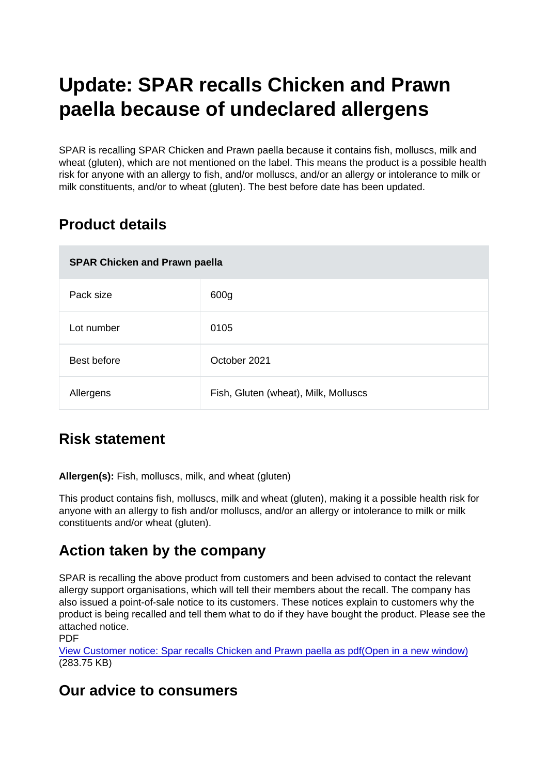# Update: SPAR recalls Chicken and Prawn paella because of undeclared allergens

SPAR is recalling SPAR Chicken and Prawn paella because it contains fish, molluscs, milk and wheat (gluten), which are not mentioned on the label. This means the product is a possible health risk for anyone with an allergy to fish, and/or molluscs, and/or an allergy or intolerance to milk or milk constituents, and/or to wheat (gluten). The best before date has been updated.

# Product details

| SPAR Chicken and Prawn paella |                                      |
|-------------------------------|--------------------------------------|
| Pack size                     | 600g                                 |
| Lot number                    | 0105                                 |
| Best before                   | October 2021                         |
| Allergens                     | Fish, Gluten (wheat), Milk, Molluscs |

# Risk statement

Allergen(s): Fish, molluscs, milk, and wheat (gluten)

This product contains fish, molluscs, milk and wheat (gluten), making it a possible health risk for anyone with an allergy to fish and/or molluscs, and/or an allergy or intolerance to milk or milk constituents and/or wheat (gluten).

### Action taken by the company

SPAR is recalling the above product from customers and been advised to contact the relevant allergy support organisations, which will tell their members about the recall. The company has also issued a point-of-sale notice to its customers. These notices explain to customers why the product is being recalled and tell them what to do if they have bought the product. Please see the attached notice.

PDF

[View Customer notice: Spar recalls Chicken and Prawn paella as pdf\(Open in a new window\)](https://s3-eu-west-1.amazonaws.com/fsa-alerts-files/production/FSA-AA-46-2020-update-1/spar-recall.pdf) (283.75 KB)

### Our advice to consumers